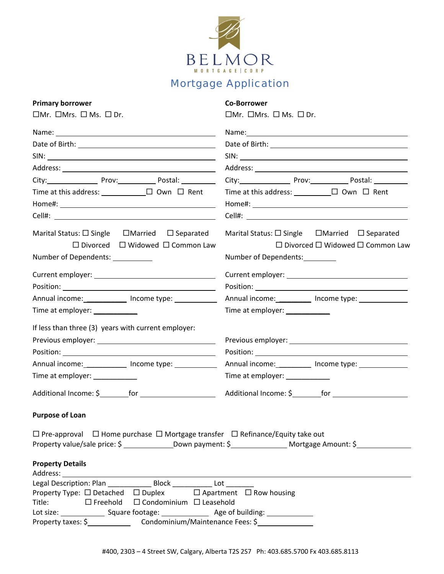

## Mortgage Application

## **Primary borrower Co‐Borrower**

 $\Box$ Mr.  $\Box$ Mrs.  $\Box$  Ms.  $\Box$  Dr. Mrs.  $\Box$  Mrs.  $\Box$  Mrs.  $\Box$  Dr. Mrs.  $\Box$  Dr.

| City: Prov: Prov: Postal: 2001                                                                                                                                                                                                 |                                                        |
|--------------------------------------------------------------------------------------------------------------------------------------------------------------------------------------------------------------------------------|--------------------------------------------------------|
| Time at this address: $\Box$ $\Box$ Own $\Box$ Rent                                                                                                                                                                            | Time at this address: $\Box$ $\Box$ Own $\Box$ Rent    |
|                                                                                                                                                                                                                                |                                                        |
|                                                                                                                                                                                                                                |                                                        |
| Marital Status: $\Box$ Single $\Box$ Married $\Box$ Separated                                                                                                                                                                  | Marital Status: □ Single □ Married □ Separated         |
| $\Box$ Divorced $\Box$ Widowed $\Box$ Common Law                                                                                                                                                                               | $\Box$ Divorced $\Box$ Widowed $\Box$ Common Law       |
| Number of Dependents: ___________                                                                                                                                                                                              | Number of Dependents:_________                         |
|                                                                                                                                                                                                                                |                                                        |
|                                                                                                                                                                                                                                |                                                        |
| Annual income: _____________ Income type: ___________                                                                                                                                                                          | Annual income: __________ Income type: _____________   |
| Time at employer: ____________                                                                                                                                                                                                 | Time at employer: ____________                         |
| If less than three (3) years with current employer:                                                                                                                                                                            |                                                        |
|                                                                                                                                                                                                                                |                                                        |
|                                                                                                                                                                                                                                |                                                        |
| Annual income: _____________ Income type: ___________                                                                                                                                                                          | Annual income: ___________ Income type: ______________ |
| Time at employer: ____________                                                                                                                                                                                                 | Time at employer: ____________                         |
|                                                                                                                                                                                                                                |                                                        |
| <b>Purpose of Loan</b>                                                                                                                                                                                                         |                                                        |
| $\Box$ Pre-approval $\Box$ Home purchase $\Box$ Mortgage transfer $\Box$ Refinance/Equity take out                                                                                                                             |                                                        |
| Property value/sale price: \$ ________________Down payment: \$ ___________________ Mortgage Amount: \$ __________                                                                                                              |                                                        |
| <b>Property Details</b>                                                                                                                                                                                                        |                                                        |
| Address: Analysis and the state of the state of the state of the state of the state of the state of the state of the state of the state of the state of the state of the state of the state of the state of the state of the s |                                                        |
| Legal Description: Plan _______________ Block ____________ Lot _________                                                                                                                                                       |                                                        |
| Property Type: $\Box$ Detached $\Box$ Duplex $\Box$ Apartment $\Box$ Row housing                                                                                                                                               |                                                        |
| Title: □ Freehold □ Condominium □ Leasehold                                                                                                                                                                                    |                                                        |
|                                                                                                                                                                                                                                |                                                        |
|                                                                                                                                                                                                                                |                                                        |